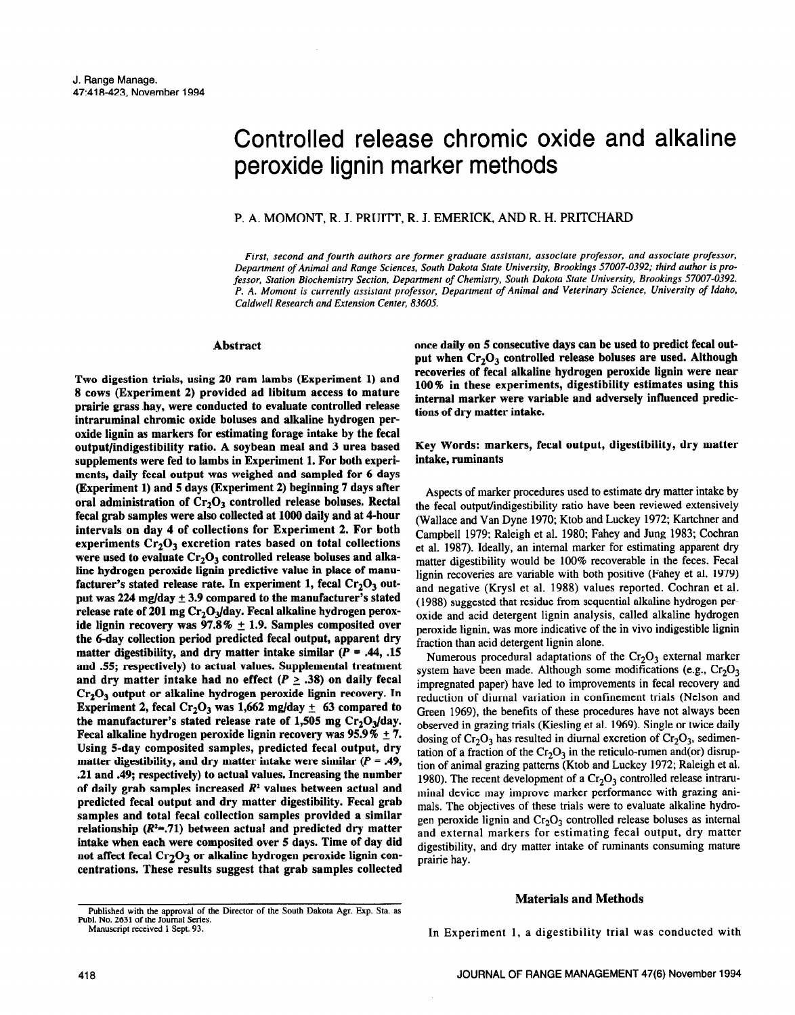# Controlled release chromic oxide and alkaline peroxide lignin marker methods

# P. **A. MOMONT, R. J. PRUITT, R. J. EMERICK, AND R. H. PRITCHARD**

*First, second and fourth authors are former graduate assistant, associate professor, and associate professor, Department of Animal and Range Sciences, South Dakota State University. Brookings 57007-0392; third author is professor, Station Biochemistry Section, Department of Chemistry, South Dakota State University, Brookings 57007-0392. P. A. Momont is currently assistant professor, Department of Animal and Veterinary Science, University of Idaho, Caldwell Research and Extension Center, 83605,* 

#### **Abstract**

**Two digestion trials, using 20 ram lambs (Experiment 1) and 8 cows (Experiment 2) provided ad libitum access to mature prairie grass hay, were conducted to evaluate controlled release intraruminal chromic oxide boluses and alkaline hydrogen peroxide lignin as markers for estimating forage intake by the fecal output/indigestibility ratio. A soybean meal and 3 urea based supplements were fed to lambs in Experiment 1. For both experiments, daily fecal output was weighed and sampled for 6 days (Experiment 1) and 5 days (Experiment 2) beginning 7 days after**  oral administration of Cr<sub>2</sub>O<sub>3</sub> controlled release boluses. Rectal **fecal grab samples were also collected at 1000 daily and at 4-hour intervals on day 4 of collections for Experiment 2. For both**  experiments Cr<sub>2</sub>O<sub>3</sub> excretion rates based on total collections were used to evaluate Cr<sub>2</sub>O<sub>3</sub> controlled release boluses and alka**line hydrogen peroxide lignin predictive value in place of manu**facturer's stated release rate. In experiment 1, fecal Cr<sub>2</sub>O<sub>3</sub> out**put was 224 mglday + 3.9 compared to the manufacturer's stated**  release rate of 201 mg Cr<sub>2</sub>O<sub>3</sub>/day. Fecal alkaline hydrogen peroxide lignin recovery was 97.8%  $\pm$  1.9. Samples composited over **the 6-day collection period predicted fecal output, apparent dry**  matter digestibility, and dry matter intake similar  $(P = .44, .15)$ **and 55; respectively) to actual values. Supplemental treatment**  and dry matter intake had no effect ( $P \ge .38$ ) on daily fecal **Crz03 output or alkaline hydrogen peroxide lignin recovery. In Experiment 2, fecal Cr<sub>2</sub>O<sub>3</sub> was 1,662 mg/day**  $\pm$  **63 compared to** the manufacturer's stated release rate of 1,505 mg Cr<sub>2</sub>O<sub>2</sub>/day. **Fecal alkaline hydrogen peroxide lignin recovery was 95.9%**  $\pm$  **7. Using 5-day composited samples, predicted fecal output, dry matter digestibility, and dry matter intake were similar (p = .49, .21 and .49; respectively) to actual values. Increasing the number of daily grab samples increased** *R2* **values between actual and predicted fecal output and dry matter digestibility. Fecal grab samples and total fecal collection samples provided a similar relationship (R'=.71) between actual and predicted dry matter intake when each were composited over 5 days. Time of day did**  not affect fecal Cr<sub>2</sub>O<sub>3</sub> or alkaline hydrogen peroxide lignin con**centrations. These results suggest that grab samples collected**  **once daily on 5 consecutive days can be used to predict fecal output when Cr,O, controlled release boluses are used. Although**  recoveries of fecal alkaline hydrogen peroxide lignin were near **100% in these experiments, digestibility estimates using this internal marker were variable and adversely influenced predictions of dry matter intake.** 

# **Key Words: markers, fecal output, digestibility, dry matter intake, ruminants**

Aspects of marker procedures used to estimate dry matter intake by the fecal output/indigestibility ratio have been reviewed extensively (Wallace and Van Dyne 1970; Ktob and Luckey 1972; Kartchner and Campbell 1979; Raleigh et al. 1980; Fahey and Jung 1983; Cochran et al. 1987). Ideally, an internal marker for estimating apparent dry matter digestibility would be 100% recoverable in the feces. Fecal lignin recoveries are variable with both positive (Fahey et al. 1979) and negative (Krysl et al. 1988) values reported. Cochran et al. (1988) suggested that residue from sequential alkaline hydrogen peroxide and acid detergent lignin analysis, called alkaline hydrogen peroxide lignin, was more indicative of the in vivo indigestible lignin fraction than acid detergent lignin alone.

Numerous procedural adaptations of the  $Cr_2O_3$  external marker system have been made. Although some modifications (e.g.,  $Cr_2O_3$ ) impregnated paper) have led to improvements in fecal recovery and reduction of diurnal variation in confinement trials (Nelson and Green 1969). the benefits of these procedures have not always been observed in grazing trials (Kiesling et al. 1969). Single or twice daily dosing of  $Cr_2O_3$  has resulted in diurnal excretion of  $Cr_2O_3$ , sedimentation of a fraction of the  $Cr_2O_3$  in the reticulo-rumen and(or) disruption of animal grazing patterns (Ktob and Luckey 1972; Raleigh et al. 1980). The recent development of a  $Cr_2O_3$  controlled release intraruminal device may improve marker performance with grazing animals. The objectives of these trials were to evaluate alkaline hydrogen peroxide lignin and  $Cr_2O_3$  controlled release boluses as internal and external markers for estimating fecal output, dry matter digestibility, and dry matter intake of ruminants consuming mature prairie hay.

#### **Materials and Methods**

In Experiment 1, a digestibility trial was conducted with

**Published with the approval of the Director of the South Dakota Agr. Exp. Sta. as Publ. No. 2631 of the Journal Series. Manuscript received 1 Sept. 93.**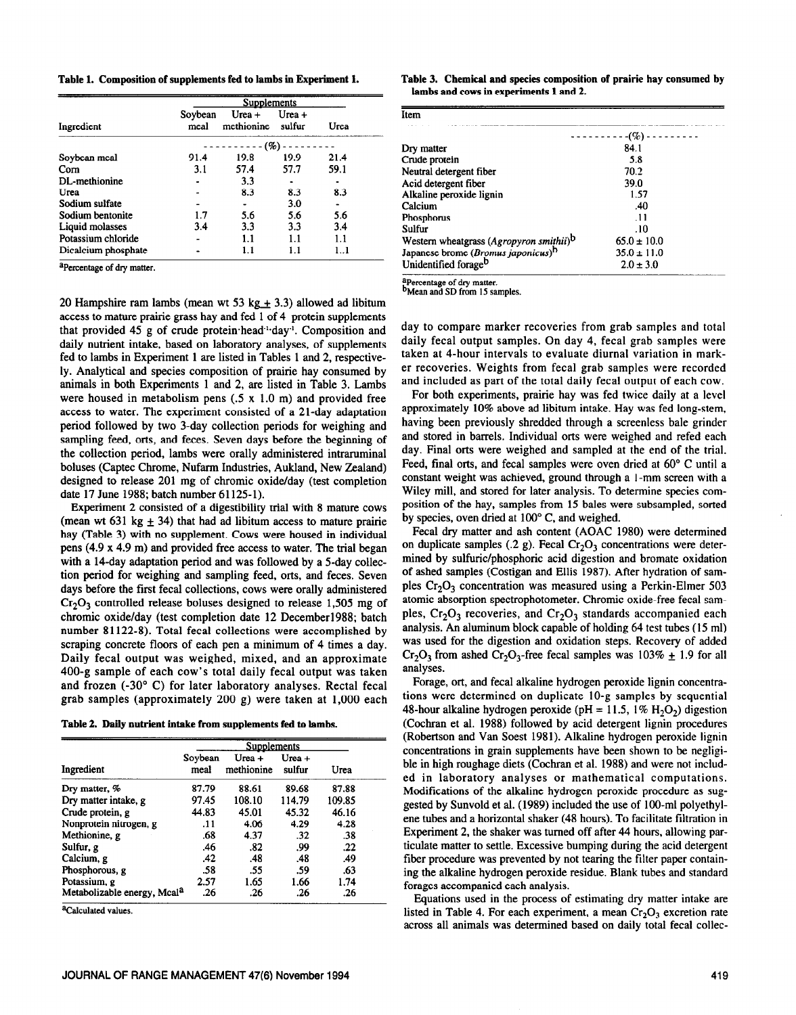| Table 1. Composition of supplements fed to lambs in Experiment 1. |  |  |  |  |  |
|-------------------------------------------------------------------|--|--|--|--|--|
|-------------------------------------------------------------------|--|--|--|--|--|

|                     | <b>Supplements</b> |                        |                  |          |  |  |
|---------------------|--------------------|------------------------|------------------|----------|--|--|
| Ingredient          | Soybean<br>meal    | Urea $+$<br>methionine | Urea +<br>sulfur | Urea     |  |  |
|                     |                    | (%)                    |                  |          |  |  |
| Soybean meal        | 91.4               | 19.8                   | 19.9             | 21.4     |  |  |
| $_{\rm Com}$        | 3.1                | 57.4                   | 57.7             | 59.1     |  |  |
| DL-methionine       |                    | 3.3                    |                  |          |  |  |
| Urea                |                    | 8.3                    | 8.3              | 8.3      |  |  |
| Sodium sulfate      |                    |                        | 3.0              |          |  |  |
| Sodium bentonite    | 1.7                | 5.6                    | 5.6              | 5.6      |  |  |
| Liquid molasses     | 3.4                | 3.3                    | 3.3              | 3.4      |  |  |
| Potassium chloride  |                    | 1.1                    | 1.1              | 1.1      |  |  |
| Dicalcium phosphate |                    | 1.1                    | 11               | $1_{-1}$ |  |  |

**aPercentage of dry matter.** 

20 **Hampshire ram lambs (mean wt 53 kg**  $\pm$  **3.3) allowed ad libitum** access to mature prairie grass hay and fed 1 of 4 protein supplements that provided 45 g of crude protein head<sup>11</sup> day<sup>1</sup>. Composition and daily nutrient intake, based on laboratory analyses, of supplements fed to lambs in Experiment 1 are listed in Tables 1 and 2, respectively. Analytical and species composition of prairie hay consumed by animals in both Experiments 1 and 2, are listed in Table 3. Lambs were housed in metabolism pens  $(.5 \times 1.0 \text{ m})$  and provided free access to water. The experiment consisted of a 21-day adaptation period followed by two 3-day collection periods for weighing and sampling feed, orts, and feces. Seven days before the beginning of the collection period, lambs were orally administered intraruminal boluses (Captec Chrome, Nufarm Industries, Aukland, New Zealand) designed to release 201 mg of chromic oxide/day (test completion date 17 June 1988; batch number 61125-l).

Experiment 2 consisted of a digestibility trial with 8 mature cows (mean wt 631 kg  $\pm$  34) that had ad libitum access to mature prairie hay (Table 3) with no supplement. Cows were housed in individual pens (4.9 x 4.9 m) and provided free access to water. The trial began with a 14-day adaptation period and was followed by a 5-day collection period for weighing and sampling feed, orts, and feces. Seven days before the first fecal collections, cows were orally administered  $Cr_2O_3$  controlled release boluses designed to release 1,505 mg of chromic oxide/day (test completion date 12 Decemberl988; batch number 81122-8). Total fecal collections were accomplished by scraping concrete floors of each pen a minimum of 4 times a day. Daily fecal output was weighed, mixed, and an approximate 400-g sample of each cow's total daily fecal output was taken and frozen (-30" C) for later laboratory analyses. Rectal fecal grab samples (approximately 200 g) were taken at 1,000 each

**Table 2. Daily nutrient intake from supplements fed to lambs.** 

|                                         | Supplements     |                      |                  |        |  |  |
|-----------------------------------------|-----------------|----------------------|------------------|--------|--|--|
| Ingredient                              | Soybean<br>meal | Urea +<br>methionine | Urea +<br>sulfur | Urea   |  |  |
| Dry matter, %                           | 87.79           | 88.61                | 89.68            | 87.88  |  |  |
| Dry matter intake, g                    | 97.45           | 108.10               | 114.79           | 109.85 |  |  |
| Crude protein, g                        | 44.83           | 45.01                | 45.32            | 46.16  |  |  |
| Nonprotein nitrogen, g                  | .11             | 4.06                 | 4.29             | 4.28   |  |  |
| Methionine, g                           | .68             | 4.37                 | .32              | .38    |  |  |
| Sulfur, g                               | .46             | .82                  | .99              | .22    |  |  |
| Calcium, g                              | .42             | .48                  | .48              | .49    |  |  |
| Phosphorous, g                          | .58             | .55                  | .59              | .63    |  |  |
| Potassium, g                            | 2.57            | 1.65                 | 1.66             | 1.74   |  |  |
| Metabolizable energy, Mcal <sup>a</sup> | .26             | .26                  | .26              | .26    |  |  |

**acalculated values.** 

**Table 3. Chemical and species composition of prairie hay consumed by lambs and cows in experiments 1 and 2.** 

| Item                                                |                 |
|-----------------------------------------------------|-----------------|
|                                                     | ----------(%)   |
| Dry matter                                          | 84.1            |
| Crude protein                                       | 5.8             |
| Neutral detergent fiber                             | 70.2            |
| Acid detergent fiber                                | 39.0            |
| Alkaline peroxide lignin                            | 1.57            |
| Calcium                                             | .40             |
| Phosphorus                                          | $\overline{11}$ |
| Sulfur                                              | .10             |
| Western wheatgrass (Agropyron smithii) <sup>b</sup> | $65.0 \pm 10.0$ |
| Japanese brome (Bromus japonicus) <sup>b</sup>      | $35.0 \pm 11.0$ |
| Unidentified forage <sup>b</sup>                    | $2.0 \pm 3.0$   |

aPercentage of dry matter.

bMeaa and **SD** from 15 samples.

day to compare marker recoveries from grab samples and total daily fecal output samples. On day 4, fecal grab samples were taken at 4-hour intervals to evaluate diurnal variation in marker recoveries. Weights from fecal grab samples were recorded and included as part of the total daily fecal output of each cow.

For both experiments, prairie hay was fed twice daily at a level approximately 10% above ad libitum intake. Hay was fed long-stem, having been previously shredded through a screenless bale grinder and stored in barrels. Individual orts were weighed and refed each day. Final orts were weighed and sampled at the end of the trial. Feed, final orts, and fecal samples were oven dried at 60" C until a constant weight was achieved, ground through a 1 -mm screen with a Wiley mill, and stored for later analysis. To determine species composition of the hay, samples from 15 bales were subsampled, sorted by species, oven dried at 100° C, and weighed.

Fecal dry matter and ash content (AOAC 1980) were determined on duplicate samples (.2 g). Fecal  $Cr_2O_3$  concentrations were determined by sulfuric/phosphoric acid digestion and bromate oxidation of ashed samples (Costigan and Ellis 1987). After hydration of samples  $Cr_2O_3$  concentration was measured using a Perkin-Elmer 503 atomic absorption spectrophotometer. Chromic oxide-free fecal samples,  $Cr_2O_3$  recoveries, and  $Cr_2O_3$  standards accompanied each analysis. An aluminum block capable of holding 64 test tubes (15 ml) was used for the digestion and oxidation steps. Recovery of added  $Cr_2O_3$  from ashed  $Cr_2O_3$ -free fecal samples was 103%  $\pm$  1.9 for all analyses.

Forage, ort, and fecal alkaline hydrogen peroxide lignin concentrations were determined on duplicate 10-g samples by sequential 48-hour alkaline hydrogen peroxide (pH = 11.5, 1% H<sub>2</sub>O<sub>2</sub>) digestion (Cochran et al. 1988) followed by acid detergent lignin procedures (Robertson and Van Soest 1981). Alkaline hydrogen peroxide lignin concentrations in grain supplements have been shown to be negligible in high roughage diets (Cochran et al. 1988) and were not included in laboratory analyses or mathematical computations. Modifications of the alkaline hydrogen peroxide procedure as suggested by Sunvold et al. (1989) included the use of 100-ml polyethylene tubes and a horizontal shaker (48 hours). To facilitate filtration in Experiment 2, the shaker was turned off after 44 hours, allowing particulate matter to settle. Excessive bumping during the acid detergent fiber procedure was prevented by not tearing the filter paper containing the alkaline hydrogen peroxide residue. Blank tubes and standard forages accompanied each analysis.

Equations used in the process of estimating dry matter intake are listed in Table 4. For each experiment, a mean  $Cr_2O_3$  excretion rate across all animals was determined based on daily total fecal collec-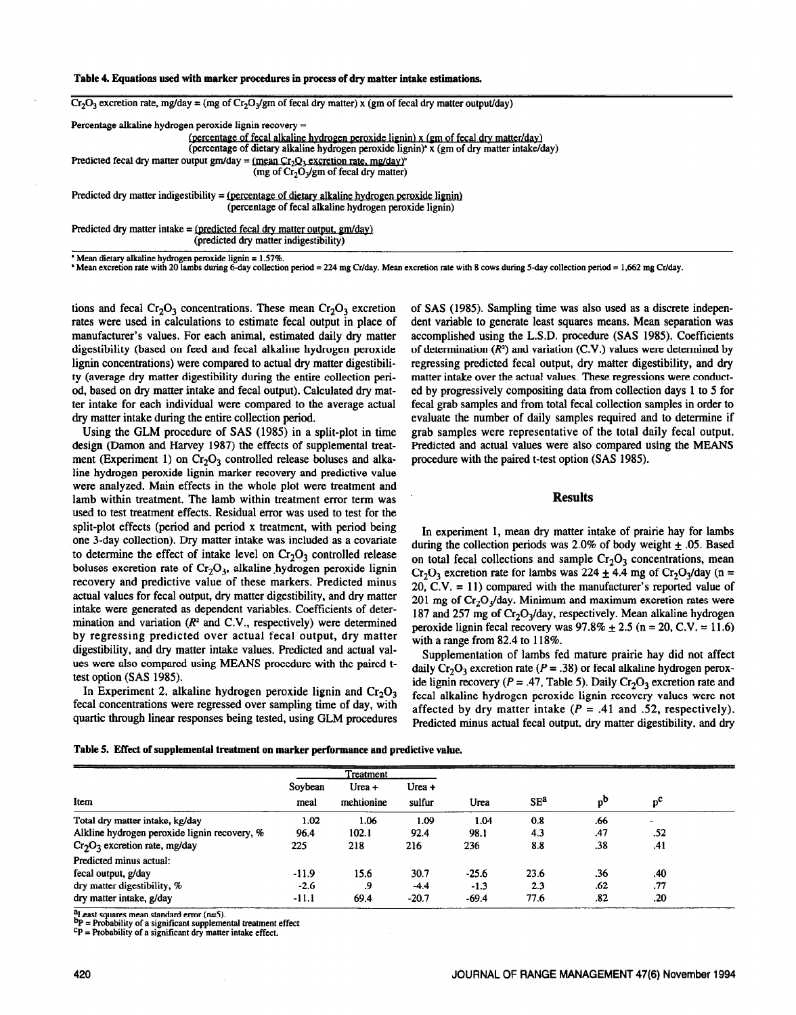## **Table 4. Equations used with marker procedures in process of dry matter intake estimations.**

 $Cr_2O_3$  excretion rate, mg/day = (mg of  $Cr_2O_3$ /gm of fecal dry matter) x (gm of fecal dry matter output/day)



Predicted dry matter intake =  $(predicted fecal dry matter output, gm/day)$ (predicted dry matter indigestibility)

\* Mean dietary alkaline hydrogen peroxide lignin = 1.57%.<br>\* Mean excretion rate with 20 lambs during 6-day collection period = 224 mg Cr/day. Mean excretion rate with 8 cows during 5-day collection period = 1,662 mg Cr/day

tions and fecal  $Cr_2O_3$  concentrations. These mean  $Cr_2O_3$  excretion rates were used in calculations to estimate fecal output in place of manufacturer's values. For each animal, estimated daily dry matter digestibility (based on feed and fecal alkaline hydrogen peroxide lignin concentrations) were compared to actual dry matter digestibility (average dry matter digestibility during the entire collection period, based on dry matter intake and fecal output). Calculated dry matter intake for each individual were compared to the average actual dry matter intake during the entire collection period.

Using the GLM procedure of SAS (1985) in a split-plot in time design (Damon and Harvey 1987) the effects of supplemental treatment (Experiment 1) on  $Cr_2O_3$  controlled release boluses and alkaline hydrogen peroxide lignin marker recovery and predictive value were analyzed. Main effects in the whole plot were treatment and lamb within treatment. The lamb within treatment error term was used to test treatment effects. Residual error was used to test for the split-plot effects (period and period x treatment, with period being one 3-day collection). Dry matter intake was included as a covariate to determine the effect of intake level on  $Cr_2O_3$  controlled release boluses excretion rate of  $Cr_2O_3$ , alkaline hydrogen peroxide lignin recovery and predictive value of these markers. Predicted minus actual values for fecal output, dry matter digestibility, and dry matter intake were generated as dependent variables. Coefficients of determination and variation  $(R^2 \text{ and } C.V.,$  respectively) were determined by regressing predicted over actual fecal output, dry matter digestibility, and dry matter intake values. Predicted and actual values were also compared using MEANS procedure with the paired ttest option (SAS 1985).

In Experiment 2, alkaline hydrogen peroxide lignin and  $Cr_2O_3$ fecal concentrations were regressed over sampling time of day, with quartic through linear responses being tested, using GLM procedures of SAS (1985). Sampling time was also used as a discrete independent variable to generate least squares means. Mean separation was accomplished using the L.S.D. procedure (SAS 1985). Coefficients of determination  $(R^2)$  and variation  $(C.V.)$  values were determined by regressing predicted fecal output, dry matter digestibility, and dry matter intake over the actual values. These regressions were conducted by progressively cornpositing data from collection days 1 to 5 for fecal grab samples and from total fecal collection samples in order to evaluate the number of daily samples required and to determine if grab samples were representative of the total daily fecal output. Predicted and actual values were also compared using the MEANS procedure with the paired t-test option (SAS 1985).

## **Results**

In experiment 1, mean dry matter intake of prairie hay for lambs during the collection periods was 2.0% of body weight  $\pm$  .05. Based on total fecal collections and sample  $Cr_2O_3$  concentrations, mean  $Cr_2O_3$  excretion rate for lambs was 224  $\pm$  4.4 mg of  $Cr_2O_3$ /day (n = 20, C.V.  $= 11$ ) compared with the manufacturer's reported value of 201 mg of  $Cr_2O_3$ /day. Minimum and maximum excretion rates were 187 and 257 mg of  $Cr_2O_3$ /day, respectively. Mean alkaline hydrogen peroxide lignin fecal recovery was  $97.8\% \pm 2.5$  (n = 20, C.V. = 11.6) with a range from 82.4 to 118%.

Supplementation of lambs fed mature prairie hay did not affect daily  $Cr_2O_3$  excretion rate ( $P = .38$ ) or fecal alkaline hydrogen peroxide lignin recovery ( $P = .47$ , Table 5). Daily Cr<sub>2</sub>O<sub>3</sub> excretion rate and fecal alkaline hydrogen peroxide lignin recovery values were not affected by dry matter intake  $(P = .41$  and .52, respectively). Predicted minus actual fecal output, dry matter digestibility, and dry

Table 5. Effect **of supplemental treatment on marker performawe and predictive value.** 

|                                              | <b>Treatment</b> |                      |                     |         |                 |     |             |  |
|----------------------------------------------|------------------|----------------------|---------------------|---------|-----------------|-----|-------------|--|
| Item                                         | Soybean<br>meal  | Urea +<br>mehtionine | $U$ rea +<br>sulfur | Urea    | SE <sup>a</sup> | $b$ | $p^{\rm c}$ |  |
| Total dry matter intake, kg/day              | 1.02             | 1.06                 | 1.09                | 1.04    | 0.8             | .66 |             |  |
| Alkline hydrogen peroxide lignin recovery, % | 96.4             | 102.1                | 92.4                | 98.1    | 4.3             | .47 | .52         |  |
| $Cr_2O_3$ excretion rate, mg/day             | 225              | 218                  | 216                 | 236     | 8.8             | .38 | .41         |  |
| Predicted minus actual:                      |                  |                      |                     |         |                 |     |             |  |
| fecal output, g/day                          | $-11.9$          | 15.6                 | 30.7                | $-25.6$ | 23.6            | .36 | .40         |  |
| dry matter digestibility, %                  | $-2.6$           | .9                   | $-4.4$              | $-1.3$  | 2.3             | .62 | .77         |  |
| dry matter intake, g/day                     | $-11.1$          | 69.4                 | $-20.7$             | $-69.4$ | 77.6            | .82 | .20         |  |

aLeast squares mean standard error (n=5).

bp = **Probability of a significant supplemental treatment effect** 

**cP = Probability of a significant dry matter intake effect.**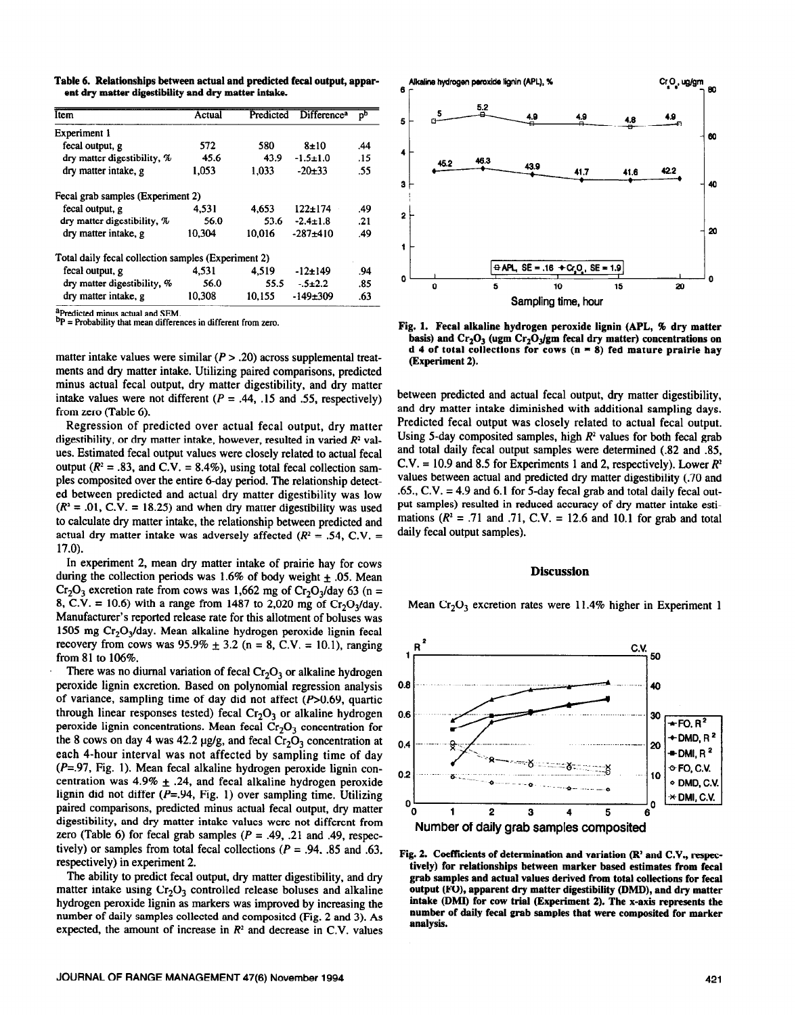Table 6. Relationships between actual and predicted fecal output, appar**ent dry matter digestibility and dry matter intake.** 

| Item                                                | Actual |        | Predicted Difference <sup>a</sup> | DЪ  |
|-----------------------------------------------------|--------|--------|-----------------------------------|-----|
| Experiment 1                                        |        |        |                                   |     |
| fecal output, g                                     | 572    | 580    | 8±10                              | .44 |
| dry matter digestibility, %                         | 45.6   | 43.9   | $-1.5 \pm 1.0$                    | .15 |
| dry matter intake, g                                | 1.053  | 1,033  | $-20+33$                          | .55 |
| Fecal grab samples (Experiment 2)                   |        |        |                                   |     |
| fecal output, g                                     | 4.531  | 4.653  | $122 + 174$                       | .49 |
| dry matter digestibility, %                         | 56.0   | 53.6   | $-2.4 \pm 1.8$                    | .21 |
| dry matter intake, g                                | 10.304 | 10.016 | $-287+410$                        | .49 |
| Total daily fecal collection samples (Experiment 2) |        |        |                                   |     |
| fecal output, g                                     | 4.531  | 4.519  | $-12+149$                         | .94 |
| dry matter digestibility, %                         | 56.0   | 55.5   | $-5+2.2$                          | .85 |
| dry matter intake, g                                | 10.308 | 10.155 | $-149+309$                        | .63 |

**%edicted minus actual and SEM.** 

**bp** = Probability that mean differences in different from zero.

matter intake values were similar  $(P > .20)$  across supplemental treatments and dry matter intake. Utilizing paired comparisons, predicted minus actual fecal output, dry matter digestibility, and dry matter intake values were not different ( $P = .44$ , .15 and .55, respectively) from zero (Table 6).

Regression of predicted over actual fecal output, dry matter digestibility, or dry matter intake, however, resulted in varied *R2* values. Estimated fecal output values were closely related to actual fecal output  $(R^2 = .83$ , and C.V. = 8.4%), using total fecal collection samples cornposited over the entire 6-day period. The relationship detected between predicted and actual dry matter digestibility was low  $(R^2 = .01, C.V. = 18.25)$  and when dry matter digestibility was used to calculate dry matter intake, the relationship between predicted and actual dry matter intake was adversely affected  $(R^2 = .54, C.V. =$ 17.0).

In experiment 2, mean dry matter intake of prairie hay for cows during the collection periods was 1.6% of body weight  $\pm$  .05. Mean  $Cr_2O_3$  excretion rate from cows was 1,662 mg of  $Cr_2O_3$ /day 63 (n = 8, C.V. = 10.6) with a range from 1487 to 2,020 mg of  $Cr_2O_3$ /day. Manufacturer's reported release rate for this allotment of boluses was 1505 mg Cr,O,/day. Mean alkaline hydrogen peroxide lignin fecal recovery from cows was  $95.9\% \pm 3.2$  (n = 8, C.V. = 10.1), ranging from 81 to 106%.

There was no diurnal variation of fecal  $Cr_2O_3$  or alkaline hydrogen peroxide lignin excretion. Based on polynomial regression analysis of variance, sampling time of day did not affect  $(P>0.69$ , quartic through linear responses tested) fecal  $Cr_2O_3$  or alkaline hydrogen peroxide lignin concentrations. Mean fecal  $Cr_2O_3$  concentration for the 8 cows on day 4 was 42.2  $\mu$ g/g, and fecal Cr<sub>2</sub>O<sub>3</sub> concentration at each 4-hour interval was not affected by sampling time of day  $(P=.97, Fig. 1)$ . Mean fecal alkaline hydrogen peroxide lignin concentration was  $4.9\% \pm .24$ , and fecal alkaline hydrogen peroxide lignin did not differ  $(P=.94, Fig. 1)$  over sampling time. Utilizing paired comparisons, predicted minus actual fecal output, dry matter digestibility, and dry matter intake values were not different from zero (Table 6) for fecal grab samples ( $P = .49, .21$  and .49, respectively) or samples from total fecal collections ( $P = .94, .85$  and .63, respectively) in experiment 2.

The ability to predict fecal output, dry matter digestibility, and dry matter intake using  $Cr_2O_3$  controlled release boluses and alkaline hydrogen peroxide lignin as markers was improved by increasing the number of daily samples collected and composited (Fig. 2 and 3). As expected, the amount of increase in  $R<sup>2</sup>$  and decrease in C.V. values



**Fig. 1. Fecal alkaline hydrogen peroxide lignin (APL, % dry matter**  basis) and  $Cr_2O_3$  (ugm  $Cr_2O_3$  gm fecal dry matter) concentrations on **d 4 of total collections for cows (n = 8) fed mature prairie hay (Experiment 2).** 

**between** predicted and actual fecal output, dry matter digestibility, and dry matter intake diminished with additional sampling days. Predicted fecal output was closely related to actual fecal output. Using 5-day composited samples, high *R'* **values** for both fecal grab and total daily fecal output samples were determined (.82 and .85,  $C.V. = 10.9$  and 8.5 for Experiments 1 and 2, respectively). Lower  $R^2$ values between actual and predicted dry matter digestibility (.70 and .65.,  $C.V. = 4.9$  and 6.1 for 5-day fecal grab and total daily fecal output samples) resulted in reduced accuracy of dry matter intake estimations  $(R^2 = .71$  and  $.71$ , C.V. = 12.6 and 10.1 for grab and total daily fecal output samples).

#### **Discussion**

Mean  $Cr_2O_3$  excretion rates were 11.4% higher in Experiment 1



**Fig. 2. Coefficients of determination and variation (R\* and C.V., respectively) for relationships between marker based estimates from fecal grab samples and actual values derived from total collections for fecal output (FO), apparent dry matter digestibility (DMD), and dry matter intake (DMD for cow trial (Experiment 2). The x-axis represents the number of daily fecal grab samples that were cornposited for marker analysis.**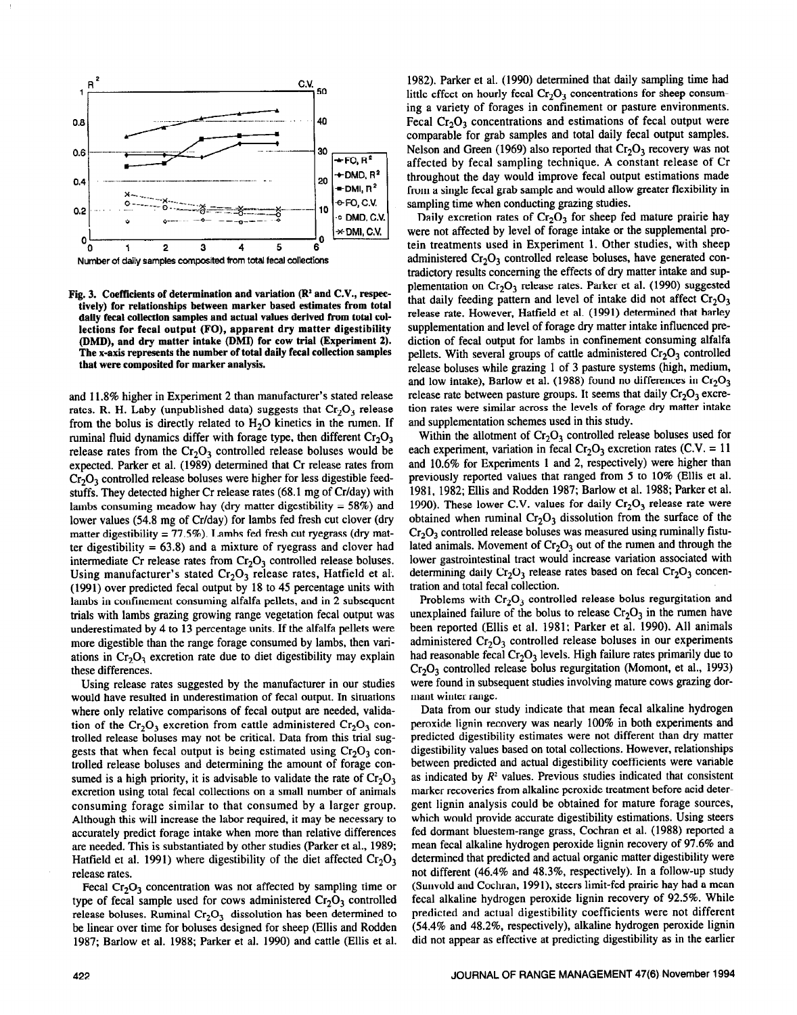

**Number of daily samples cornposited from total fecal collections** 

Fig. 3. Coefficients of determination and variation (R<sup>2</sup> and C.V., respec**tively) for relationships between marker based estimates from total daily fecal collection** samples and **actual values derived from total collections for fecal output (FO), apparent dry matter digestibility @MD), and dry matter intake (DMD for cow trial (Experiment 2). The x-axis represents the number of total daily fecal collection samples that were cornposited for marker analysis.** 

and 11.8% higher in Experiment 2 than manufacturer's stated release rates. R. H. Laby (unpublished data) suggests that  $Cr_2O_3$  release from the bolus is directly related to  $H_2O$  kinetics in the rumen. If ruminal fluid dynamics differ with forage type, then different  $Cr_2O_3$ release rates from the  $Cr_2O_3$  controlled release boluses would be expected. Parker et al. (1989) determined that Cr release rates from  $Cr<sub>2</sub>O<sub>3</sub>$  controlled release boluses were higher for less digestible feedstuffs. They detected higher Cr release rates (68.1 mg of Cr/day) with lambs consuming meadow hay (dry matter digestibility  $= 58\%$ ) and lower values (54.8 mg of Cr/day) for lambs fed fresh cut clover (dry matter digestibility =  $77.5\%$ ). Lambs fed fresh cut ryegrass (dry matter digestibility  $= 63.8$ ) and a mixture of ryegrass and clover had intermediate Cr release rates from  $Cr_2O_3$  controlled release boluses. Using manufacturer's stated  $Cr_2O_3$  release rates, Hatfield et al. (1991) over predicted fecal output by 18 to 45 percentage units with lambs in confinement consuming alfalfa pellets, and in 2 subsequent trials with lambs grazing growing range vegetation fecal output was underestimated by 4 to 13 percentage units. If the alfalfa pellets were more digestible than the range forage consumed by lambs, then variations in  $Cr_2O_3$  excretion rate due to diet digestibility may explain these differences.

Using release rates suggested by the manufacturer in our studies would have resulted in underestimation of fecal output. In situations where only relative comparisons of fecal output are needed, validation of the Cr<sub>2</sub>O<sub>3</sub> excretion from cattle administered Cr<sub>2</sub>O<sub>3</sub> controlled release boluses may not be critical. Data from this trial suggests that when fecal output is being estimated using  $Cr_2O_3$  controlled release boluses and determining the amount of forage consumed is a high priority, it is advisable to validate the rate of  $Cr_2O_3$ excretion using total fecal collections on a small number of animals consuming forage similar to that consumed by a larger group. Although this will increase the labor required, it may be necessary to accurately predict forage intake when more than relative differences are needed. This is substantiated by other studies (Parker et al., 1989; Hatfield et al. 1991) where digestibility of the diet affected  $Cr_2O_3$ release rates.

Fecal  $Cr_2O_3$  concentration was not affected by sampling time or type of fecal sample used for cows administered  $Cr_2O_3$  controlled release boluses. Ruminal  $Cr_2O_3$  dissolution has been determined to be linear over time for boluses designed for sheep (Ellis and Rodden 1987; Barlow et al. 1988; Parker et al. 1990) and cattle (Ellis et al.

1982). Parker et al. (1990) determined that daily sampling time had little effect on hourly fecal  $Cr_2O_3$  concentrations for sheep consuming a variety of forages in confinement or pasture environments. Fecal  $Cr_2O_3$  concentrations and estimations of fecal output were comparable for grab samples and total daily fecal output samples. Nelson and Green (1969) also reported that  $Cr_2O_3$  recovery was not affected by fecal sampling technique. A constant release of Cr throughout the day would improve fecal output estimations made from a single fecal grab sample and would allow greater flexibility in sampling time when conducting grazing studies.

Daily excretion rates of  $Cr_2O_3$  for sheep fed mature prairie hay were not affected by level of forage intake or the supplemental protein treatments used in Experiment 1. Other studies, with sheep administered  $Cr_2O_3$  controlled release boluses, have generated contradictory results concerning the effects of dry matter intake and supplementation on  $Cr_2O_3$  release rates. Parker et al. (1990) suggested that daily feeding pattern and level of intake did not affect  $Cr_2O_3$ release rate. However, Hatfield et al. (1991) determined that barley supplementation and level of forage dry matter intake influenced prediction of fecal output for lambs in confinement consuming alfalfa pellets. With several groups of cattle administered  $Cr_2O_3$  controlled release boluses while grazing 1 of 3 pasture systems (high, medium, and low intake), Barlow et al. (1988) found no differences in  $Cr_2O_3$ release rate between pasture groups. It seems that daily  $Cr_2O_3$  excretion rates were similar across the levels of forage dry matter intake and supplementation schemes used in this study.

Within the allotment of  $Cr_2O_3$  controlled release boluses used for each experiment, variation in fecal  $Cr_2O_3$  excretion rates (C.V. = 11 and 10.6% for Experiments 1 and 2, respectively) were higher than previously reported values that ranged from 5 to 10% (Ellis et al. 1981, 1982; Ellis and Rodden 1987; Barlow et al. 1988; Parker et al. 1990). These lower C.V. values for daily  $Cr_2O_3$  release rate were obtained when ruminal  $Cr_2O_3$  dissolution from the surface of the  $Cr<sub>2</sub>O<sub>3</sub>$  controlled release boluses was measured using ruminally fistulated animals. Movement of  $Cr_2O_3$  out of the rumen and through the lower gastrointestinal tract would increase variation associated with determining daily  $Cr_2O_3$  release rates based on fecal  $Cr_2O_3$  concentration and total fecal collection.

Problems with  $Cr_2O_3$  controlled release bolus regurgitation and unexplained failure of the bolus to release  $Cr_2O_3$  in the rumen have been reported (Ellis et al. 1981; Parker et al. 1990). All animals administered  $Cr_2O_3$  controlled release boluses in our experiments had reasonable fecal  $Cr_2O_3$  levels. High failure rates primarily due to  $Cr_2O_3$  controlled release bolus regurgitation (Momont, et al., 1993) were found in subsequent studies involving mature cows grazing dormant winter range.

Data from our study indicate that mean fecal alkaline hydrogen peroxide lignin recovery was nearly 100% in both experiments and predicted digestibility estimates were not different than dry matter digestibility values based on total collections. However, relationships between predicted and actual digestibility coefficients were variable as indicated by  $R<sup>2</sup>$  values. Previous studies indicated that consistent marker recoveries from alkaline peroxide treatment before acid detergent lignin analysis could be obtained for mature forage sources, which would provide accurate digestibility estimations. Using steers fed dormant bluestem-range grass, Cochran et al. (1988) reported a mean fecal alkaline hydrogen peroxide lignin recovery of 97.6% and determined that predicted and actual organic matter digestibility were not different (46.4% and 48.3%, respectively). In a follow-up study (Sunvold and Cochran, 1991), steers limit-fed prairie hay had a mean fecal alkaline hydrogen peroxide lignin recovery of 92.5%. While predicted and actual digestibility coefficients were not different (54.4% and 48.2%, respectively), alkaline hydrogen peroxide lignin did not appear as effective at predicting digestibility as in the earlier